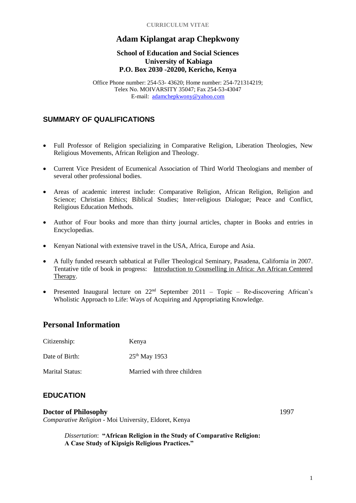#### **CURRICULUM VITAE**

# **Adam Kiplangat arap Chepkwony**

#### **School of Education and Social Sciences University of Kabiaga P.O. Box 2030 -20200, Kericho, Kenya**

Office Phone number: 254-53- 43620; Home number: 254-721314219; Telex No. MOIVARSITY 35047; Fax 254-53-43047 E-mail: [adamchepkwony@yahoo.com](mailto:adamchepkwony@yahoo.com)

# **SUMMARY OF QUALIFICATIONS**

- Full Professor of Religion specializing in Comparative Religion, Liberation Theologies, New Religious Movements, African Religion and Theology.
- Current Vice President of Ecumenical Association of Third World Theologians and member of several other professional bodies.
- Areas of academic interest include: Comparative Religion, African Religion, Religion and Science; Christian Ethics; Biblical Studies; Inter-religious Dialogue; Peace and Conflict, Religious Education Methods.
- Author of Four books and more than thirty journal articles, chapter in Books and entries in Encyclopedias.
- Kenyan National with extensive travel in the USA, Africa, Europe and Asia.
- A fully funded research sabbatical at Fuller Theological Seminary, Pasadena, California in 2007. Tentative title of book in progress: Introduction to Counselling in Africa: An African Centered Therapy.
- Presented Inaugural lecture on  $22<sup>nd</sup>$  September  $2011$  Topic Re-discovering African's Wholistic Approach to Life: Ways of Acquiring and Appropriating Knowledge.

# **Personal Information**

| Citizenship:    | Kenya                       |
|-----------------|-----------------------------|
| Date of Birth:  | $25^{th}$ May 1953          |
| Marital Status: | Married with three children |

# **EDUCATION**

#### **Doctor of Philosophy** 1997 *Comparative Religion -* Moi University, Eldoret, Kenya

*Dissertation*: **"African Religion in the Study of Comparative Religion: A Case Study of Kipsigis Religious Practices."**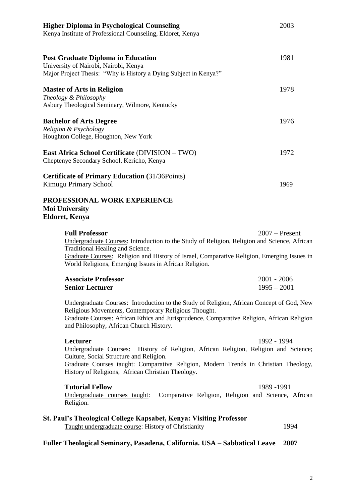| <b>Higher Diploma in Psychological Counseling</b><br>Kenya Institute of Professional Counseling, Eldoret, Kenya                                                                                                                                                                                                 | 2003                           |
|-----------------------------------------------------------------------------------------------------------------------------------------------------------------------------------------------------------------------------------------------------------------------------------------------------------------|--------------------------------|
| <b>Post Graduate Diploma in Education</b><br>University of Nairobi, Nairobi, Kenya<br>Major Project Thesis: "Why is History a Dying Subject in Kenya?"                                                                                                                                                          | 1981                           |
| <b>Master of Arts in Religion</b><br>Theology & Philosophy<br>Asbury Theological Seminary, Wilmore, Kentucky                                                                                                                                                                                                    | 1978                           |
| <b>Bachelor of Arts Degree</b><br>Religion & Psychology<br>Houghton College, Houghton, New York                                                                                                                                                                                                                 | 1976                           |
| East Africa School Certificate (DIVISION – TWO)<br>Cheptenye Secondary School, Kericho, Kenya                                                                                                                                                                                                                   | 1972                           |
| <b>Certificate of Primary Education (31/36Points)</b><br>Kimugu Primary School                                                                                                                                                                                                                                  | 1969                           |
| PROFESSIONAL WORK EXPERIENCE<br><b>Moi University</b><br><b>Eldoret, Kenya</b>                                                                                                                                                                                                                                  |                                |
| <b>Full Professor</b><br>Undergraduate Courses: Introduction to the Study of Religion, Religion and Science, African<br>Traditional Healing and Science.<br>Graduate Courses: Religion and History of Israel, Comparative Religion, Emerging Issues in<br>World Religions, Emerging Issues in African Religion. | $2007$ – Present               |
| <b>Associate Professor</b><br><b>Senior Lecturer</b>                                                                                                                                                                                                                                                            | $2001 - 2006$<br>$1995 - 2001$ |
| Undergraduate Courses: Introduction to the Study of Religion, African Concept of God, New<br>Religious Movements, Contemporary Religious Thought.<br>Graduate Courses: African Ethics and Jurisprudence, Comparative Religion, African Religion<br>and Philosophy, African Church History.                      |                                |

**Lecturer** 1992 - 1994

Undergraduate Courses: History of Religion, African Religion, Religion and Science; Culture, Social Structure and Religion.

Graduate Courses taught: Comparative Religion, Modern Trends in Christian Theology, History of Religions, African Christian Theology.

#### **Tutorial Fellow** 1989 -1991

Undergraduate courses taught: Comparative Religion, Religion and Science, African Religion.

#### **St. Paul's Theological College Kapsabet, Kenya: Visiting Professor**

Taught undergraduate course: History of Christianity 1994

#### **Fuller Theological Seminary, Pasadena, California. USA – Sabbatical Leave 2007**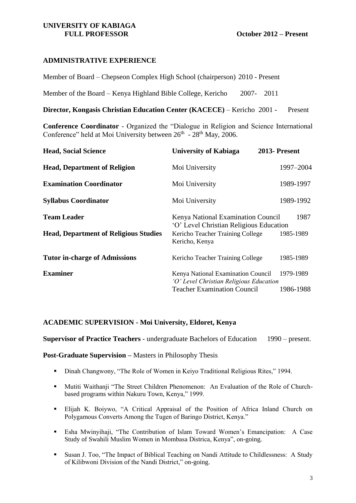#### **UNIVERSITY OF KABIAGA FULL PROFESSOR October 2012 – Present**

# **ADMINISTRATIVE EXPERIENCE**

Member of Board – Chepseon Complex High School (chairperson) 2010 - Present

Member of the Board – Kenya Highland Bible College, Kericho 2007- 2011

**Director, Kongasis Christian Education Center (KACECE)** – Kericho2001 - Present

**Conference Coordinator** - Organized the "Dialogue in Religion and Science International Conference" held at Moi University between 26<sup>th</sup> - 28<sup>th</sup> May, 2006.

| <b>Head, Social Science</b>                                        | <b>University of Kabiaga</b>                                                                                                        | 2013- Present     |
|--------------------------------------------------------------------|-------------------------------------------------------------------------------------------------------------------------------------|-------------------|
| <b>Head, Department of Religion</b>                                | Moi University                                                                                                                      | 1997-2004         |
| <b>Examination Coordinator</b>                                     | Moi University                                                                                                                      | 1989-1997         |
| <b>Syllabus Coordinator</b>                                        | Moi University                                                                                                                      | 1989-1992         |
| <b>Team Leader</b><br><b>Head, Department of Religious Studies</b> | Kenya National Examination Council<br>'O' Level Christian Religious Education<br>Kericho Teacher Training College<br>Kericho, Kenya | 1987<br>1985-1989 |
| <b>Tutor in-charge of Admissions</b>                               | Kericho Teacher Training College                                                                                                    | 1985-1989         |
| <b>Examiner</b>                                                    | Kenya National Examination Council<br>'O' Level Christian Religious Education                                                       | 1979-1989         |
|                                                                    | <b>Teacher Examination Council</b>                                                                                                  | 1986-1988         |

#### **ACADEMIC SUPERVISION - Moi University, Eldoret, Kenya**

**Supervisor of Practice Teachers** - undergraduate Bachelors of Education 1990 – present.

#### **Post-Graduate Supervision –** Masters in Philosophy Thesis

- Dinah Changwony, "The Role of Women in Keiyo Traditional Religious Rites," 1994.
- Mutiti Waithanji "The Street Children Phenomenon: An Evaluation of the Role of Churchbased programs within Nakuru Town, Kenya," 1999.
- Elijah K. Boiywo, "A Critical Appraisal of the Position of Africa Inland Church on Polygamous Converts Among the Tugen of Baringo District, Kenya."
- Esha Mwinyihaji, "The Contribution of Islam Toward Women's Emancipation: A Case Study of Swahili Muslim Women in Mombasa Districa, Kenya", on-going.
- Susan J. Too, "The Impact of Biblical Teaching on Nandi Attitude to Childlessness: A Study of Kilibwoni Division of the Nandi District," on-going.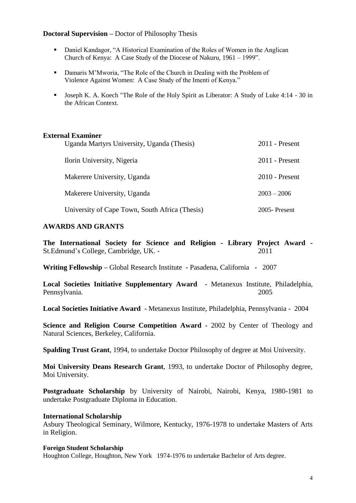#### **Doctoral Supervision –** Doctor of Philosophy Thesis

- Daniel Kandagor, "A Historical Examination of the Roles of Women in the Anglican Church of Kenya: A Case Study of the Diocese of Nakuru, 1961 – 1999".
- Damaris M'Mworia, "The Role of the Church in Dealing with the Problem of Violence Against Women: A Case Study of the Imenti of Kenya."
- Joseph K. A. Koech "The Role of the Holy Spirit as Liberator: A Study of Luke 4:14 30 in the African Context.

#### **External Examiner**

| Uganda Martyrs University, Uganda (Thesis)     | $2011$ - Present |
|------------------------------------------------|------------------|
| Ilorin University, Nigeria                     | $2011$ - Present |
| Makerere University, Uganda                    | $2010$ - Present |
| Makerere University, Uganda                    | $2003 - 2006$    |
| University of Cape Town, South Africa (Thesis) | $2005$ -Present  |

#### **AWARDS AND GRANTS**

**The International Society for Science and Religion - Library Project Award -** St.Edmund's College, Cambridge, UK. - 2011

**Writing Fellowship –** Global Research Institute **-** Pasadena, California **-** 2007

**Local Societies Initiative Supplementary Award** - Metanexus Institute, Philadelphia, Pennsylvania. 2005

**Local Societies Initiative Award** - Metanexus Institute, Philadelphia, Pennsylvania - 2004

**Science and Religion Course Competition Award** - 2002 by Center of Theology and Natural Sciences, Berkeley, California.

**Spalding Trust Grant**, 1994, to undertake Doctor Philosophy of degree at Moi University.

**Moi University Deans Research Grant**, 1993, to undertake Doctor of Philosophy degree, Moi University.

**Postgraduate Scholarship** by University of Nairobi, Nairobi, Kenya, 1980-1981 to undertake Postgraduate Diploma in Education.

#### **International Scholarship**

Asbury Theological Seminary, Wilmore, Kentucky, 1976-1978 to undertake Masters of Arts in Religion.

#### **Foreign Student Scholarship**

Houghton College, Houghton, New York 1974-1976 to undertake Bachelor of Arts degree.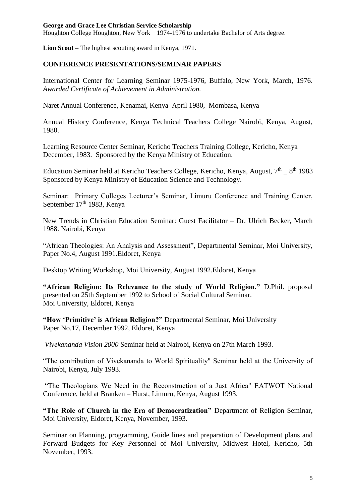#### **George and Grace Lee Christian Service Scholarship**

Houghton College Houghton, New York 1974-1976 to undertake Bachelor of Arts degree.

**Lion Scout** – The highest scouting award in Kenya, 1971.

#### **CONFERENCE PRESENTATIONS/SEMINAR PAPERS**

International Center for Learning Seminar 1975-1976, Buffalo, New York, March, 1976. *Awarded Certificate of Achievement in Administration.*

Naret Annual Conference, Kenamai, Kenya April 1980, Mombasa, Kenya

Annual History Conference, Kenya Technical Teachers College Nairobi, Kenya, August, 1980.

Learning Resource Center Seminar, Kericho Teachers Training College, Kericho, Kenya December, 1983. Sponsored by the Kenya Ministry of Education.

Education Seminar held at Kericho Teachers College, Kericho, Kenya, August, 7<sup>th</sup> \_ 8<sup>th</sup> 1983 Sponsored by Kenya Ministry of Education Science and Technology.

Seminar: Primary Colleges Lecturer's Seminar, Limuru Conference and Training Center, September 17<sup>th</sup> 1983, Kenya

New Trends in Christian Education Seminar: Guest Facilitator – Dr. Ulrich Becker, March 1988. Nairobi, Kenya

"African Theologies: An Analysis and Assessment", Departmental Seminar, Moi University, Paper No.4, August 1991.Eldoret, Kenya

Desktop Writing Workshop, Moi University, August 1992.Eldoret, Kenya

**"African Religion: Its Relevance to the study of World Religion."** D.Phil. proposal presented on 25th September 1992 to School of Social Cultural Seminar. Moi University, Eldoret, Kenya

**"How 'Primitive' is African Religion?"** Departmental Seminar, Moi University Paper No.17, December 1992, Eldoret, Kenya

*Vivekananda Vision 2000* Seminar held at Nairobi, Kenya on 27th March 1993.

"The contribution of Vivekananda to World Spirituality" Seminar held at the University of Nairobi, Kenya, July 1993.

"The Theologians We Need in the Reconstruction of a Just Africa" EATWOT National Conference, held at Branken – Hurst, Limuru, Kenya, August 1993.

**"The Role of Church in the Era of Democratization"** Department of Religion Seminar, Moi University, Eldoret, Kenya, November, 1993.

Seminar on Planning, programming, Guide lines and preparation of Development plans and Forward Budgets for Key Personnel of Moi University, Midwest Hotel, Kericho, 5th November, 1993.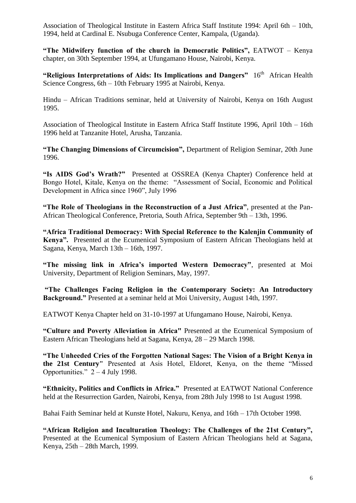Association of Theological Institute in Eastern Africa Staff Institute 1994: April 6th – 10th, 1994, held at Cardinal E. Nsubuga Conference Center, Kampala, (Uganda).

**"The Midwifery function of the church in Democratic Politics",** EATWOT – Kenya chapter, on 30th September 1994, at Ufungamano House, Nairobi, Kenya.

"Religious Interpretations of Aids: Its Implications and Dangers" 16<sup>th</sup> African Health Science Congress, 6th – 10th February 1995 at Nairobi, Kenya.

Hindu – African Traditions seminar, held at University of Nairobi, Kenya on 16th August 1995.

Association of Theological Institute in Eastern Africa Staff Institute 1996, April 10th – 16th 1996 held at Tanzanite Hotel, Arusha, Tanzania.

**"The Changing Dimensions of Circumcision",** Department of Religion Seminar, 20th June 1996.

**"Is AIDS God's Wrath?"** Presented at OSSREA (Kenya Chapter) Conference held at Bongo Hotel, Kitale, Kenya on the theme: "Assessment of Social, Economic and Political Development in Africa since 1960", July 1996

**"The Role of Theologians in the Reconstruction of a Just Africa"**, presented at the Pan-African Theological Conference, Pretoria, South Africa, September 9th – 13th, 1996.

**"Africa Traditional Democracy: With Special Reference to the Kalenjin Community of Kenya".** Presented at the Ecumenical Symposium of Eastern African Theologians held at Sagana, Kenya, March 13th – 16th, 1997.

**"The missing link in Africa's imported Western Democracy"**, presented at Moi University, Department of Religion Seminars, May, 1997.

**"The Challenges Facing Religion in the Contemporary Society: An Introductory Background."** Presented at a seminar held at Moi University, August 14th, 1997.

EATWOT Kenya Chapter held on 31-10-1997 at Ufungamano House, Nairobi, Kenya.

**"Culture and Poverty Alleviation in Africa"** Presented at the Ecumenical Symposium of Eastern African Theologians held at Sagana, Kenya, 28 – 29 March 1998.

**"The Unheeded Cries of the Forgotten National Sages: The Vision of a Bright Kenya in the 21st Century"** Presented at Asis Hotel, Eldoret, Kenya, on the theme "Missed Opportunities."  $2 - 4$  July 1998.

**"Ethnicity, Politics and Conflicts in Africa."** Presented at EATWOT National Conference held at the Resurrection Garden, Nairobi, Kenya, from 28th July 1998 to 1st August 1998.

Bahai Faith Seminar held at Kunste Hotel, Nakuru, Kenya, and 16th – 17th October 1998.

**"African Religion and Inculturation Theology: The Challenges of the 21st Century",**  Presented at the Ecumenical Symposium of Eastern African Theologians held at Sagana, Kenya, 25th – 28th March, 1999.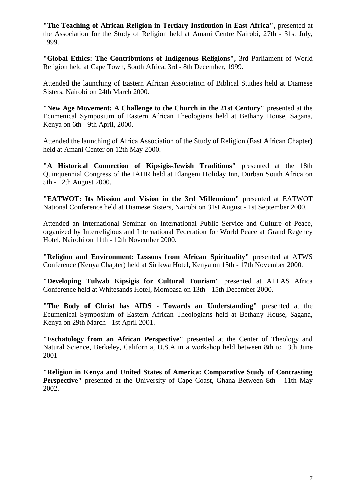**"The Teaching of African Religion in Tertiary Institution in East Africa",** presented at the Association for the Study of Religion held at Amani Centre Nairobi, 27th - 31st July, 1999.

**"Global Ethics: The Contributions of Indigenous Religions",** 3rd Parliament of World Religion held at Cape Town, South Africa, 3rd - 8th December, 1999.

Attended the launching of Eastern African Association of Biblical Studies held at Diamese Sisters, Nairobi on 24th March 2000.

**"New Age Movement: A Challenge to the Church in the 21st Century"** presented at the Ecumenical Symposium of Eastern African Theologians held at Bethany House, Sagana, Kenya on 6th - 9th April, 2000.

Attended the launching of Africa Association of the Study of Religion (East African Chapter) held at Amani Center on 12th May 2000.

**"A Historical Connection of Kipsigis-Jewish Traditions"** presented at the 18th Quinquennial Congress of the IAHR held at Elangeni Holiday Inn, Durban South Africa on 5th - 12th August 2000.

**"EATWOT: Its Mission and Vision in the 3rd Millennium"** presented at EATWOT National Conference held at Diamese Sisters, Nairobi on 31st August - 1st September 2000.

Attended an International Seminar on International Public Service and Culture of Peace, organized by Interreligious and International Federation for World Peace at Grand Regency Hotel, Nairobi on 11th - 12th November 2000.

**"Religion and Environment: Lessons from African Spirituality"** presented at ATWS Conference (Kenya Chapter) held at Sirikwa Hotel, Kenya on 15th - 17th November 2000.

**"Developing Tulwab Kipsigis for Cultural Tourism"** presented at ATLAS Africa Conference held at Whitesands Hotel, Mombasa on 13th - 15th December 2000.

**"The Body of Christ has AIDS - Towards an Understanding"** presented at the Ecumenical Symposium of Eastern African Theologians held at Bethany House, Sagana, Kenya on 29th March - 1st April 2001.

**"Eschatology from an African Perspective"** presented at the Center of Theology and Natural Science, Berkeley, California, U.S.A in a workshop held between 8th to 13th June 2001

**"Religion in Kenya and United States of America: Comparative Study of Contrasting Perspective"** presented at the University of Cape Coast, Ghana Between 8th - 11th May 2002.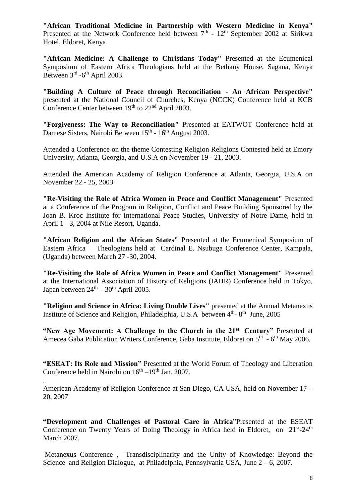**"African Traditional Medicine in Partnership with Western Medicine in Kenya"** Presented at the Network Conference held between  $7<sup>th</sup>$  -  $12<sup>th</sup>$  September 2002 at Sirikwa Hotel, Eldoret, Kenya

**"African Medicine: A Challenge to Christians Today"** Presented at the Ecumenical Symposium of Eastern Africa Theologians held at the Bethany House, Sagana, Kenya Between  $3<sup>rd</sup>$  -6<sup>th</sup> April 2003.

**"Building A Culture of Peace through Reconciliation - An African Perspective"**  presented at the National Council of Churches, Kenya (NCCK) Conference held at KCB Conference Center between  $19<sup>th</sup>$  to  $22<sup>nd</sup>$  April 2003.

**"Forgiveness: The Way to Reconciliation"** Presented at EATWOT Conference held at Damese Sisters, Nairobi Between 15<sup>th</sup> - 16<sup>th</sup> August 2003.

Attended a Conference on the theme Contesting Religion Religions Contested held at Emory University, Atlanta, Georgia, and U.S.A on November 19 - 21, 2003.

Attended the American Academy of Religion Conference at Atlanta, Georgia, U.S.A on November 22 - 25, 2003

**"Re-Visiting the Role of Africa Women in Peace and Conflict Management"** Presented at a Conference of the Program in Religion, Conflict and Peace Building Sponsored by the Joan B. Kroc Institute for International Peace Studies, University of Notre Dame, held in April 1 - 3, 2004 at Nile Resort, Uganda.

**"African Religion and the African States"** Presented at the Ecumenical Symposium of Eastern Africa Theologians held at Cardinal E. Nsubuga Conference Center, Kampala, (Uganda) between March 27 -30, 2004.

**"Re-Visiting the Role of Africa Women in Peace and Conflict Management"** Presented at the International Association of History of Religions (IAHR) Conference held in Tokyo, Japan between  $24<sup>th</sup> - 30<sup>th</sup>$  April 2005.

**"Religion and Science in Africa: Living Double Lives"** presented at the Annual Metanexus Institute of Science and Religion, Philadelphia, U.S.A between  $4<sup>th</sup>$ -  $8<sup>th</sup>$  June, 2005

**"New Age Movement: A Challenge to the Church in the 21st Century"** Presented at Amecea Gaba Publication Writers Conference, Gaba Institute, Eldoret on 5<sup>th</sup> - 6<sup>th</sup> May 2006.

**"ESEAT: Its Role and Mission"** Presented at the World Forum of Theology and Liberation Conference held in Nairobi on  $16<sup>th</sup> - 19<sup>th</sup>$  Jan. 2007.

American Academy of Religion Conference at San Diego, CA USA, held on November 17 – 20, 2007

.

**"Development and Challenges of Pastoral Care in Africa**"Presented at the ESEAT Conference on Twenty Years of Doing Theology in Africa held in Eldoret, on 21st-24<sup>th</sup> March 2007.

Metanexus Conference , Transdisciplinarity and the Unity of Knowledge: Beyond the Science and Religion Dialogue, at Philadelphia, Pennsylvania USA, June 2 – 6, 2007.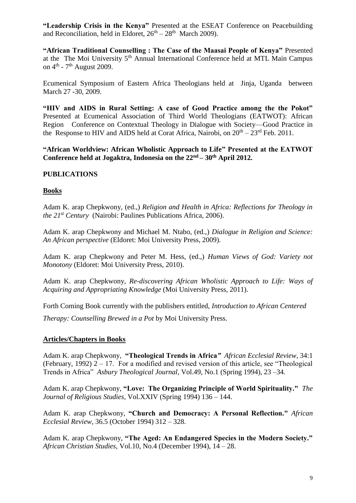**"Leadership Crisis in the Kenya"** Presented at the ESEAT Conference on Peacebuilding and Reconciliation, held in Eldoret,  $26<sup>th</sup> - 28<sup>th</sup>$  March 2009).

**"African Traditional Counselling : The Case of the Maasai People of Kenya"** Presented at the The Moi University 5<sup>th</sup> Annual International Conference held at MTL Main Campus on  $4<sup>th</sup>$  -  $7<sup>th</sup>$  August 2009.

Ecumenical Symposium of Eastern Africa Theologians held at Jinja, Uganda between March 27 -30, 2009.

**"HIV and AIDS in Rural Setting: A case of Good Practice among the the Pokot"**  Presented at Ecumenical Association of Third World Theologians (EATWOT): African Region Conference on Contextual Theology in Dialogue with Society—Good Practice in the Response to HIV and AIDS held at Corat Africa, Nairobi, on  $20^{th} - 23^{rd}$  Feb. 2011.

**"African Worldview: African Wholistic Approach to Life" Presented at the EATWOT Conference held at Jogaktra, Indonesia on the 22nd – 30th April 2012.** 

# **PUBLICATIONS**

#### **Books**

Adam K. arap Chepkwony, (ed.,) *Religion and Health in Africa: Reflections for Theology in the 21st Century* (Nairobi: Paulines Publications Africa, 2006).

Adam K. arap Chepkwony and Michael M. Ntabo, (ed.,) *Dialogue in Religion and Science: An African perspective* (Eldoret: Moi University Press, 2009).

Adam K. arap Chepkwony and Peter M. Hess, (ed.,) *Human Views of God: Variety not Monotony* (Eldoret: Moi University Press, 2010).

Adam K. arap Chepkwony, *Re-discovering African Wholistic Approach to Life: Ways of Acquiring and Appropriating Knowledge* (Moi University Press, 2011).

Forth Coming Book currently with the publishers entitled, *Introduction to African Centered* 

*Therapy: Counselling Brewed in a Pot* by Moi University Press.

#### **Articles/Chapters in Books**

Adam K. arap Chepkwony, **"Theological Trends in Africa***" African Ecclesial Review*, 34:1 (February, 1992) 2 – 17. For a modified and revised version of this article, see "Theological Trends in Africa" *Asbury Theological Journal*, Vol.49, No.1 (Spring 1994), 23 –34.

Adam K. arap Chepkwony, **"Love: The Organizing Principle of World Spirituality."** *The Journal of Religious Studies*, Vol.XXIV (Spring 1994) 136 – 144.

Adam K. arap Chepkwony, **"Church and Democracy: A Personal Reflection."** *African Ecclesial Review*, 36.5 (October 1994) 312 – 328.

Adam K. arap Chepkwony, **"The Aged: An Endangered Species in the Modern Society."**  *African Christian Studies*, Vol.10, No.4 (December 1994), 14 – 28.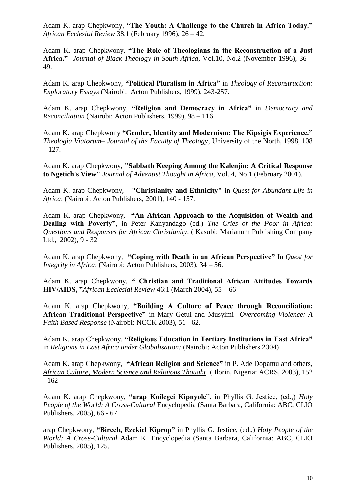Adam K. arap Chepkwony, **"The Youth: A Challenge to the Church in Africa Today."**  *African Ecclesial Review* 38.1 (February 1996), 26 – 42.

Adam K. arap Chepkwony, **"The Role of Theologians in the Reconstruction of a Just Africa."** *Journal of Black Theology in South Africa*, Vol.10, No.2 (November 1996), 36 – 49.

Adam K. arap Chepkwony, **"Political Pluralism in Africa"** in *Theology of Reconstruction: Exploratory Essays* (Nairobi: Acton Publishers, 1999), 243-257.

Adam K. arap Chepkwony, **"Religion and Democracy in Africa"** in *Democracy and Reconciliation* (Nairobi: Acton Publishers, 1999), 98 – 116.

Adam K. arap Chepkwony **"Gender, Identity and Modernism: The Kipsigis Experience."** *Theologia Viatorum– Journal of the Faculty of Theology,* University of the North, 1998, 108 – 127.

Adam K. arap Chepkwony, **"Sabbath Keeping Among the Kalenjin: A Critical Response to Ngetich's View"** *Journal of Adventist Thought in Africa,* Vol. 4, No 1 (February 2001).

Adam K. arap Chepkwony, **"Christianity and Ethnicity"** in *Quest for Abundant Life in Africa*: (Nairobi: Acton Publishers, 2001), 140 - 157.

Adam K. arap Chepkwony, **"An African Approach to the Acquisition of Wealth and Dealing with Poverty"**, in Peter Kanyandago (ed.) *The Cries of the Poor in Africa: Questions and Responses for African Christianity*. ( Kasubi: Marianum Publishing Company Ltd., 2002), 9 - 32

Adam K. arap Chepkwony, **"Coping with Death in an African Perspective"** In *Quest for Integrity in Africa*: (Nairobi: Acton Publishers, 2003), 34 – 56.

Adam K. arap Chepkwony, **" Christian and Traditional African Attitudes Towards HIV/AIDS, "***African Ecclesial Review* 46:1 (March 2004), 55 – 66

Adam K. arap Chepkwony, **"Building A Culture of Peace through Reconciliation: African Traditional Perspective"** in Mary Getui and Musyimi *Overcoming Violence: A Faith Based Response* (Nairobi: NCCK 2003), 51 - 62.

Adam K. arap Chepkwony, **"Religious Education in Tertiary Institutions in East Africa"**  in *Religions in East Africa under Globalisation:* (Nairobi: Acton Publishers 2004)

Adam K. arap Chepkwony, **"African Religion and Science"** in P. Ade Dopamu and others, *African Culture, Modern Science and Religious Thought* ( Ilorin, Nigeria: ACRS, 2003), 152 - 162

Adam K. arap Chepkwony, **"arap Koilegei Kipnyole**", in Phyllis G. Jestice, (ed.,) *Holy People of the World: A Cross-Cultural* Encyclopedia (Santa Barbara, California: ABC, CLIO Publishers, 2005), 66 - 67.

arap Chepkwony, **"Birech, Ezekiel Kiprop"** in Phyllis G. Jestice, (ed.,) *Holy People of the World: A Cross-Cultural* Adam K. Encyclopedia (Santa Barbara, California: ABC, CLIO Publishers, 2005), 125.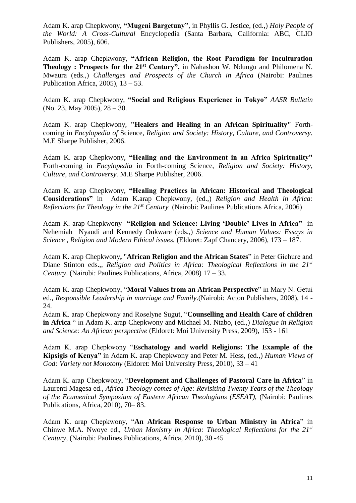Adam K. arap Chepkwony, **"Mugeni Bargetuny"**, in Phyllis G. Jestice, (ed.,) *Holy People of the World: A Cross-Cultural* Encyclopedia (Santa Barbara, California: ABC, CLIO Publishers, 2005), 606.

Adam K. arap Chepkwony, **"African Religion, the Root Paradigm for Inculturation Theology : Prospects for the 21st Century",** in Nahashon W. Ndungu and Philomena N. Mwaura (eds.,) *Challenges and Prospects of the Church in Africa* (Nairobi: Paulines Publication Africa, 2005), 13 – 53.

Adam K. arap Chepkwony, **"Social and Religious Experience in Tokyo"** *AASR Bulletin* (No. 23, May 2005), 28 – 30.

Adam K. arap Chepkwony, **"Healers and Healing in an African Spirituality"** Forthcoming in *Encylopedia of* Science*, Religion and Society: History, Culture, and Controversy.*  M.E Sharpe Publisher, 2006.

Adam K. arap Chepkwony, **"Healing and the Environment in an Africa Spirituality"**  Forth-coming in *Encylopedia* in Forth-coming Science, *Religion and Society: History, Culture, and Controversy.* M.E Sharpe Publisher, 2006.

Adam K. arap Chepkwony, **"Healing Practices in African: Historical and Theological Considerations"** in Adam K.arap Chepkwony, (ed.,) *Religion and Health in Africa: Reflections for Theology in the 21st Century* (Nairobi: Paulines Publications Africa, 2006)

Adam K. arap Chepkwony **"Religion and Science: Living 'Double' Lives in Africa"** in Nehemiah Nyaudi and Kennedy Onkware (eds.,) *Science and Human Values: Essays in Science , Religion and Modern Ethical issues.* (Eldoret: Zapf Chancery, 2006), 173 – 187.

Adam K. arap Chepkwony**,** "**African Religion and the African States**" in Peter Gichure and Diane Stinton eds.,, *Religion and Politics in Africa: Theological Reflections in the 21st Century*. (Nairobi: Paulines Publications, Africa, 2008) 17 – 33.

Adam K. arap Chepkwony, "**Moral Values from an African Perspective**" in Mary N. Getui ed., *Responsible Leadership in marriage and Family*.(Nairobi: Acton Publishers, 2008), 14 - 24.

Adam K. arap Chepkwony and Roselyne Sugut, "**Counselling and Health Care of children in Africa** " in Adam K. arap Chepkwony and Michael M. Ntabo, (ed.,) *Dialogue in Religion and Science: An African perspective* (Eldoret: Moi University Press, 2009), 153 - 161

Adam K. arap Chepkwony "**Eschatology and world Religions: The Example of the Kipsigis of Kenya"** in Adam K. arap Chepkwony and Peter M. Hess, (ed.,) *Human Views of God: Variety not Monotony* (Eldoret: Moi University Press, 2010), 33 – 41

Adam K. arap Chepkwony, "**Development and Challenges of Pastoral Care in Africa**" in Laurenti Magesa ed., *Africa Theology comes of Age: Revisiting Twenty Years of the Theology of the Ecumenical Symposium of Eastern African Theologians (ESEAT),* (Nairobi: Paulines Publications, Africa, 2010), 70– 83.

Adam K. arap Chepkwony, "**An African Response to Urban Ministry in Africa**" in Chinwe M.A. Nwoye ed., *Urban Monistry in Africa: Theological Reflections for the 21st Century,* (Nairobi: Paulines Publications, Africa, 2010), 30 -45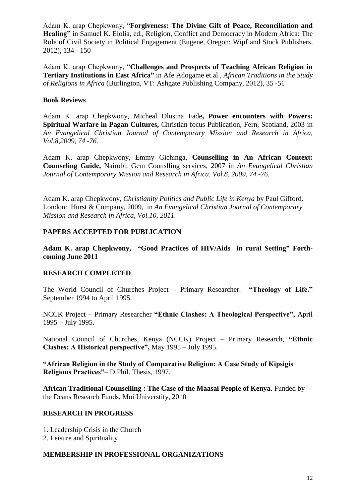Adam K. arap Chepkwony, "**Forgiveness: The Divine Gift of Peace, Reconciliation and Healing"** in Samuel K. Elolia, ed., Religion, Conflict and Democracy in Modern Africa: The Role of Civil Society in Political Engagement (Eugene, Oregon: Wipf and Stock Publishers, 2012), 134 - 150

Adam K. arap Chepkwony, "**Challenges and Prospects of Teaching African Religion in Tertiary Institutions in East Africa"** in Afe Adogame et.al., *African Traditions in the Study of Religions in Africa* (Burlington, VT: Ashgate Publishing Company, 2012), 35 -51

# **Book Reviews**

Adam K. arap Chepkwony, Micheal Olusina Fade**, Power encounters with Powers: Spiritual Warfare in Pagan Cultures,** Christian focus Publication, Fern, Scotland, 2003 in *An Evangelical Christian Journal of Contemporary Mission and Research in Africa, Vol.8,2009, 74 -76.*

Adam K. arap Chepkwony, Emmy Gichinga, **Counselling in An African Context: Counseling Guide,** Nairobi: Gem Counslling services, 2007 in *An Evangelical Christian Journal of Contemporary Mission and Research in Africa, Vol.8, 2009, 74 -76.*

Adam K. arap Chepkwony, *Christianity Politics and Public Life in Kenya* by Paul Gifford. London: Hurst & Company, 2009, in *An Evangelical Christian Journal of Contemporary Mission and Research in Africa, Vol.10, 2011.*

# **PAPERS ACCEPTED FOR PUBLICATION**

**Adam K. arap Chepkwony, "Good Practices of HIV/Aids in rural Setting" Forthcoming June 2011**

# **RESEARCH COMPLETED**

The World Council of Churches Project – Primary Researcher. **"Theology of Life."**  September 1994 to April 1995.

NCCK Project – Primary Researcher **"Ethnic Clashes: A Theological Perspective",** April 1995 – July 1995.

National Council of Churches, Kenya (NCCK) Project – Primary Research, **"Ethnic Clashes: A Historical perspective",** May 1995 – July 1995.

**"African Religion in the Study of Comparative Religion: A Case Study of Kipsigis Religious Practices"**– D.Phil. Thesis, 1997.

**African Traditional Counselling : The Case of the Maasai People of Kenya.** Funded by the Deans Research Funds, Moi Universtity, 2010

# **RESEARCH IN PROGRESS**

- 1. Leadership Crisis in the Church
- 2. Leisure and Spirituality

#### **MEMBERSHIP IN PROFESSIONAL ORGANIZATIONS**